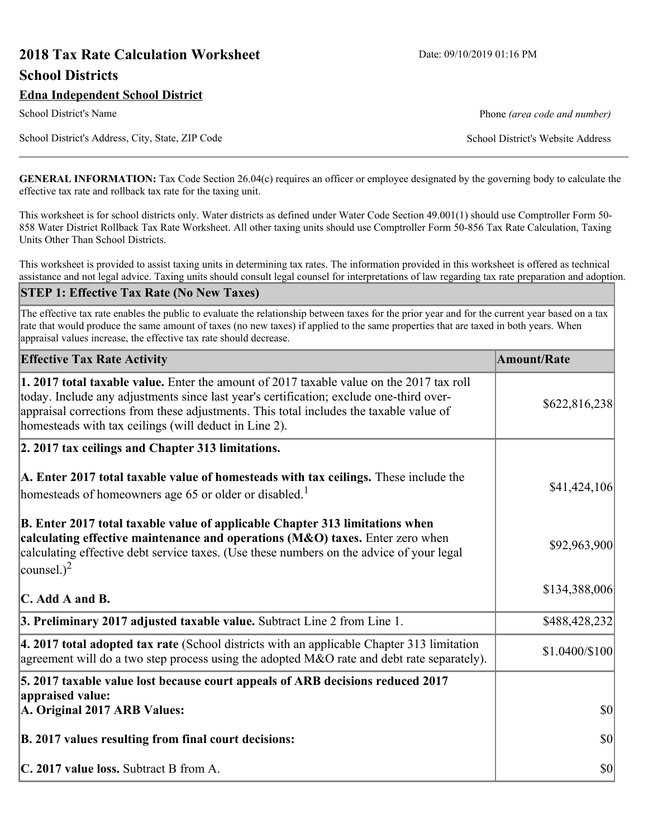# **2018 Tax Rate Calculation Worksheet** Date: 09/10/2019 01:16 PM **School Districts**

School District's Address, City, State, ZIP Code School District's Website Address

School District's Name **Phone** *(area code and number)* Phone *(area code and number)* 

**GENERAL INFORMATION:** Tax Code Section 26.04(c) requires an officer or employee designated by the governing body to calculate the effective tax rate and rollback tax rate for the taxing unit.

This worksheet is for school districts only. Water districts as defined under Water Code Section 49.001(1) should use Comptroller Form 50- 858 Water District Rollback Tax Rate Worksheet. All other taxing units should use Comptroller Form 50-856 Tax Rate Calculation, Taxing Units Other Than School Districts.

This worksheet is provided to assist taxing units in determining tax rates. The information provided in this worksheet is offered as technical assistance and not legal advice. Taxing units should consult legal counsel for interpretations of law regarding tax rate preparation and adoption.

#### **STEP 1: Effective Tax Rate (No New Taxes)**

The effective tax rate enables the public to evaluate the relationship between taxes for the prior year and for the current year based on a tax rate that would produce the same amount of taxes (no new taxes) if applied to the same properties that are taxed in both years. When appraisal values increase, the effective tax rate should decrease.

| <b>Effective Tax Rate Activity</b>                                                                                                                                                                                                                                                                                                     | <b>Amount/Rate</b> |
|----------------------------------------------------------------------------------------------------------------------------------------------------------------------------------------------------------------------------------------------------------------------------------------------------------------------------------------|--------------------|
| 1. 2017 total taxable value. Enter the amount of 2017 taxable value on the 2017 tax roll<br>today. Include any adjustments since last year's certification; exclude one-third over-<br>appraisal corrections from these adjustments. This total includes the taxable value of<br>homesteads with tax ceilings (will deduct in Line 2). | \$622,816,238      |
| 2. 2017 tax ceilings and Chapter 313 limitations.                                                                                                                                                                                                                                                                                      |                    |
| A. Enter 2017 total taxable value of homesteads with tax ceilings. These include the<br>homesteads of homeowners age 65 or older or disabled. <sup>1</sup>                                                                                                                                                                             | \$41,424,106       |
| B. Enter 2017 total taxable value of applicable Chapter 313 limitations when<br>calculating effective maintenance and operations (M&O) taxes. Enter zero when<br>calculating effective debt service taxes. (Use these numbers on the advice of your legal<br>counsel.) <sup>2</sup>                                                    | \$92,963,900       |
| C. Add A and B.                                                                                                                                                                                                                                                                                                                        | \$134,388,006      |
| 3. Preliminary 2017 adjusted taxable value. Subtract Line 2 from Line 1.                                                                                                                                                                                                                                                               | \$488,428,232      |
| $\vert$ 4. 2017 total adopted tax rate (School districts with an applicable Chapter 313 limitation<br>agreement will do a two step process using the adopted M&O rate and debt rate separately).                                                                                                                                       | \$1.0400/\$100     |
| 5. 2017 taxable value lost because court appeals of ARB decisions reduced 2017                                                                                                                                                                                                                                                         |                    |
| appraised value:<br>A. Original 2017 ARB Values:                                                                                                                                                                                                                                                                                       | $ 10\rangle$       |
| B. 2017 values resulting from final court decisions:                                                                                                                                                                                                                                                                                   | $ 10\rangle$       |
| C. 2017 value loss. Subtract B from A.                                                                                                                                                                                                                                                                                                 | $ 10\rangle$       |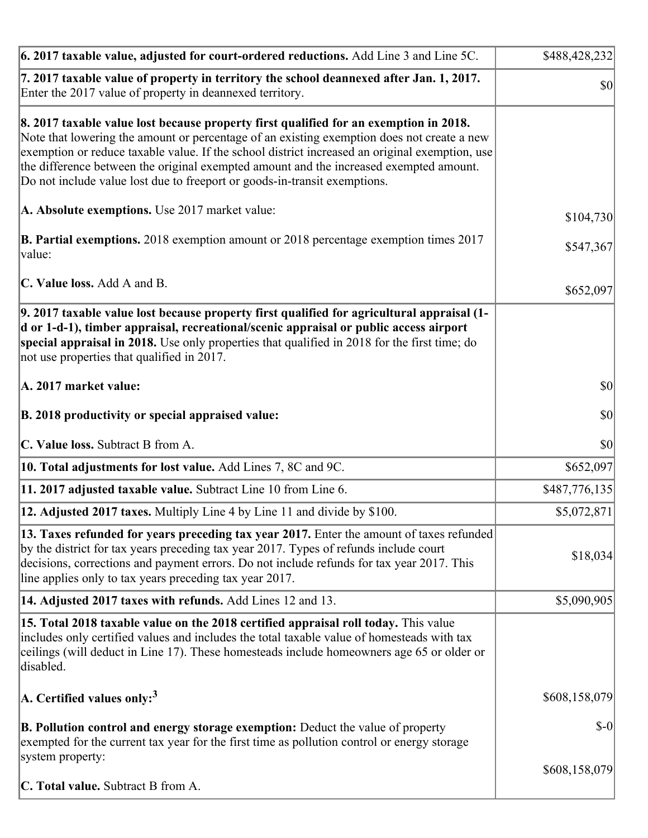| 6. 2017 taxable value, adjusted for court-ordered reductions. Add Line 3 and Line 5C.                                                                                                                                                                                                                                                                                                                                                                        | \$488,428,232 |
|--------------------------------------------------------------------------------------------------------------------------------------------------------------------------------------------------------------------------------------------------------------------------------------------------------------------------------------------------------------------------------------------------------------------------------------------------------------|---------------|
| 7. 2017 taxable value of property in territory the school deannexed after Jan. 1, 2017.<br>Enter the 2017 value of property in deannexed territory.                                                                                                                                                                                                                                                                                                          | \$0           |
| 8. 2017 taxable value lost because property first qualified for an exemption in 2018.<br>Note that lowering the amount or percentage of an existing exemption does not create a new<br>exemption or reduce taxable value. If the school district increased an original exemption, use<br>the difference between the original exempted amount and the increased exempted amount.<br>Do not include value lost due to freeport or goods-in-transit exemptions. |               |
| A. Absolute exemptions. Use 2017 market value:                                                                                                                                                                                                                                                                                                                                                                                                               | \$104,730     |
| <b>B. Partial exemptions.</b> 2018 exemption amount or 2018 percentage exemption times 2017<br>$\vert$ value:                                                                                                                                                                                                                                                                                                                                                | \$547,367     |
| C. Value loss. Add A and B.                                                                                                                                                                                                                                                                                                                                                                                                                                  | \$652,097     |
| 9. 2017 taxable value lost because property first qualified for agricultural appraisal (1-<br>d or 1-d-1), timber appraisal, recreational/scenic appraisal or public access airport<br>special appraisal in 2018. Use only properties that qualified in 2018 for the first time; do<br>not use properties that qualified in 2017.                                                                                                                            |               |
| A. 2017 market value:                                                                                                                                                                                                                                                                                                                                                                                                                                        | $ 10\rangle$  |
| B. 2018 productivity or special appraised value:                                                                                                                                                                                                                                                                                                                                                                                                             | \$0           |
| C. Value loss. Subtract B from A.                                                                                                                                                                                                                                                                                                                                                                                                                            | \$0           |
| 10. Total adjustments for lost value. Add Lines 7, 8C and 9C.                                                                                                                                                                                                                                                                                                                                                                                                | \$652,097     |
| 11. 2017 adjusted taxable value. Subtract Line 10 from Line 6.                                                                                                                                                                                                                                                                                                                                                                                               | \$487,776,135 |
| <b>12. Adjusted 2017 taxes.</b> Multiply Line 4 by Line 11 and divide by \$100.                                                                                                                                                                                                                                                                                                                                                                              | \$5,072,871   |
| [13. Taxes refunded for years preceding tax year 2017. Enter the amount of taxes refunded]<br>by the district for tax years preceding tax year 2017. Types of refunds include court<br>decisions, corrections and payment errors. Do not include refunds for tax year 2017. This<br>line applies only to tax years preceding tax year 2017.                                                                                                                  | \$18,034      |
| 14. Adjusted 2017 taxes with refunds. Add Lines 12 and 13.                                                                                                                                                                                                                                                                                                                                                                                                   | \$5,090,905   |
| <b>15. Total 2018 taxable value on the 2018 certified appraisal roll today.</b> This value<br>includes only certified values and includes the total taxable value of homesteads with tax<br>ceilings (will deduct in Line 17). These homesteads include homeowners age 65 or older or<br>disabled.                                                                                                                                                           |               |
| A. Certified values only: <sup>3</sup>                                                                                                                                                                                                                                                                                                                                                                                                                       | \$608,158,079 |
| <b>B. Pollution control and energy storage exemption:</b> Deduct the value of property<br>exempted for the current tax year for the first time as pollution control or energy storage<br>system property:                                                                                                                                                                                                                                                    | $S-0$         |
| <b>C. Total value.</b> Subtract B from A.                                                                                                                                                                                                                                                                                                                                                                                                                    | \$608,158,079 |
|                                                                                                                                                                                                                                                                                                                                                                                                                                                              |               |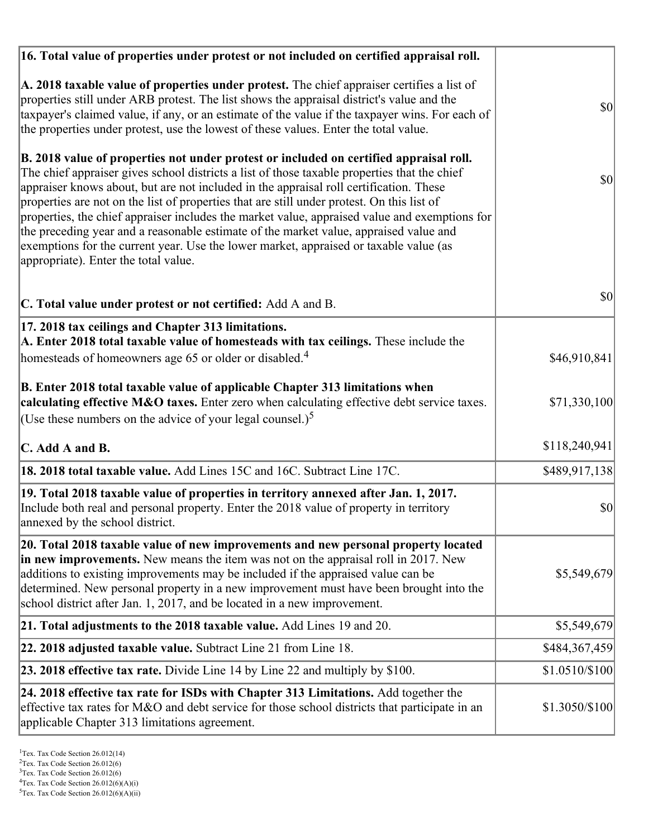| 16. Total value of properties under protest or not included on certified appraisal roll.                                                                                                                                                                                                                                                                                                                                                                                                                                                                                                                                                                                                                  |                 |
|-----------------------------------------------------------------------------------------------------------------------------------------------------------------------------------------------------------------------------------------------------------------------------------------------------------------------------------------------------------------------------------------------------------------------------------------------------------------------------------------------------------------------------------------------------------------------------------------------------------------------------------------------------------------------------------------------------------|-----------------|
| A. 2018 taxable value of properties under protest. The chief appraiser certifies a list of<br>properties still under ARB protest. The list shows the appraisal district's value and the<br>taxpayer's claimed value, if any, or an estimate of the value if the taxpayer wins. For each of<br>the properties under protest, use the lowest of these values. Enter the total value.                                                                                                                                                                                                                                                                                                                        | <b>\$0</b>      |
| B. 2018 value of properties not under protest or included on certified appraisal roll.<br>The chief appraiser gives school districts a list of those taxable properties that the chief<br>appraiser knows about, but are not included in the appraisal roll certification. These<br>properties are not on the list of properties that are still under protest. On this list of<br>properties, the chief appraiser includes the market value, appraised value and exemptions for<br>the preceding year and a reasonable estimate of the market value, appraised value and<br>exemptions for the current year. Use the lower market, appraised or taxable value (as<br>appropriate). Enter the total value. | $ 10\rangle$    |
| C. Total value under protest or not certified: Add A and B.                                                                                                                                                                                                                                                                                                                                                                                                                                                                                                                                                                                                                                               | <b>\$0</b>      |
| 17. 2018 tax ceilings and Chapter 313 limitations.<br>A. Enter 2018 total taxable value of homesteads with tax ceilings. These include the<br>homesteads of homeowners age 65 or older or disabled. <sup>4</sup>                                                                                                                                                                                                                                                                                                                                                                                                                                                                                          | \$46,910,841    |
| B. Enter 2018 total taxable value of applicable Chapter 313 limitations when<br>calculating effective M&O taxes. Enter zero when calculating effective debt service taxes.<br>(Use these numbers on the advice of your legal counsel.) <sup>5</sup>                                                                                                                                                                                                                                                                                                                                                                                                                                                       | \$71,330,100    |
| C. Add A and B.                                                                                                                                                                                                                                                                                                                                                                                                                                                                                                                                                                                                                                                                                           | \$118,240,941   |
| 18. 2018 total taxable value. Add Lines 15C and 16C. Subtract Line 17C.                                                                                                                                                                                                                                                                                                                                                                                                                                                                                                                                                                                                                                   | \$489,917,138   |
| 19. Total 2018 taxable value of properties in territory annexed after Jan. 1, 2017.<br>Include both real and personal property. Enter the 2018 value of property in territory<br>annexed by the school district.                                                                                                                                                                                                                                                                                                                                                                                                                                                                                          | \$0             |
| 20. Total 2018 taxable value of new improvements and new personal property located<br>in new improvements. New means the item was not on the appraisal roll in 2017. New<br>additions to existing improvements may be included if the appraised value can be<br>determined. New personal property in a new improvement must have been brought into the<br>school district after Jan. 1, 2017, and be located in a new improvement.                                                                                                                                                                                                                                                                        | \$5,549,679     |
| 21. Total adjustments to the 2018 taxable value. Add Lines 19 and 20.                                                                                                                                                                                                                                                                                                                                                                                                                                                                                                                                                                                                                                     | \$5,549,679     |
| 22. 2018 adjusted taxable value. Subtract Line 21 from Line 18.                                                                                                                                                                                                                                                                                                                                                                                                                                                                                                                                                                                                                                           | \$484,367,459   |
| <b>23. 2018 effective tax rate.</b> Divide Line 14 by Line 22 and multiply by \$100.                                                                                                                                                                                                                                                                                                                                                                                                                                                                                                                                                                                                                      | $$1.0510/\$100$ |
| 24. 2018 effective tax rate for ISDs with Chapter 313 Limitations. Add together the<br>effective tax rates for M&O and debt service for those school districts that participate in an<br>applicable Chapter 313 limitations agreement.                                                                                                                                                                                                                                                                                                                                                                                                                                                                    | \$1.3050/\$100  |

 $2$ Tex. Tax Code Section 26.012(6)

<sup>&</sup>lt;sup>3</sup>Tex. Tax Code Section 26.012(6)

 ${}^{4}$ Tex. Tax Code Section 26.012(6)(A)(i)

 $5$ Tex. Tax Code Section 26.012(6)(A)(ii)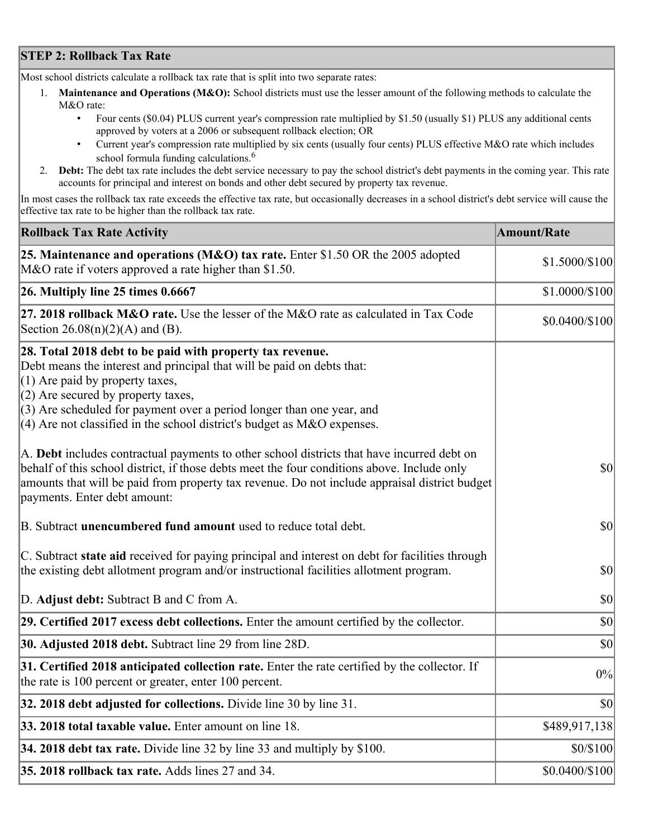# **STEP 2: Rollback Tax Rate**

Most school districts calculate a rollback tax rate that is split into two separate rates:

- 1. **Maintenance and Operations (M&O):** School districts must use the lesser amount of the following methods to calculate the M&O rate:
	- Four cents (\$0.04) PLUS current year's compression rate multiplied by \$1.50 (usually \$1) PLUS any additional cents approved by voters at a 2006 or subsequent rollback election; OR
	- Current year's compression rate multiplied by six cents (usually four cents) PLUS effective M&O rate which includes school formula funding calculations.<sup>6</sup>
- 2. **Debt:** The debt tax rate includes the debt service necessary to pay the school district's debt payments in the coming year. This rate accounts for principal and interest on bonds and other debt secured by property tax revenue.

In most cases the rollback tax rate exceeds the effective tax rate, but occasionally decreases in a school district's debt service will cause the effective tax rate to be higher than the rollback tax rate.

| <b>Rollback Tax Rate Activity</b>                                                                                                                                                                                                                                                                                                                                        | <b>Amount/Rate</b> |
|--------------------------------------------------------------------------------------------------------------------------------------------------------------------------------------------------------------------------------------------------------------------------------------------------------------------------------------------------------------------------|--------------------|
| 25. Maintenance and operations (M&O) tax rate. Enter \$1.50 OR the 2005 adopted<br>M&O rate if voters approved a rate higher than \$1.50.                                                                                                                                                                                                                                | \$1.5000/\$100     |
| $26.$ Multiply line 25 times $0.6667$                                                                                                                                                                                                                                                                                                                                    | \$1.0000/\$100     |
| 27. 2018 rollback $M&O$ rate. Use the lesser of the M&O rate as calculated in Tax Code<br>Section $26.08(n)(2)(A)$ and (B).                                                                                                                                                                                                                                              | $$0.0400/\$100$    |
| 28. Total 2018 debt to be paid with property tax revenue.<br>Debt means the interest and principal that will be paid on debts that:<br>$(1)$ Are paid by property taxes,<br>$(2)$ Are secured by property taxes,<br>$(3)$ Are scheduled for payment over a period longer than one year, and<br>$(4)$ Are not classified in the school district's budget as M&O expenses. |                    |
| A. Debt includes contractual payments to other school districts that have incurred debt on<br>behalf of this school district, if those debts meet the four conditions above. Include only<br>amounts that will be paid from property tax revenue. Do not include appraisal district budget<br>payments. Enter debt amount:                                               | $ 10\rangle$       |
| B. Subtract unencumbered fund amount used to reduce total debt.                                                                                                                                                                                                                                                                                                          | $ 10\rangle$       |
| C. Subtract state aid received for paying principal and interest on debt for facilities through<br>the existing debt allotment program and/or instructional facilities allotment program.                                                                                                                                                                                | $ 10\rangle$       |
| D. Adjust debt: Subtract B and C from A.                                                                                                                                                                                                                                                                                                                                 | $ 10\rangle$       |
| 29. Certified 2017 excess debt collections. Enter the amount certified by the collector.                                                                                                                                                                                                                                                                                 | $ 10\rangle$       |
| 30. Adjusted 2018 debt. Subtract line 29 from line 28D.                                                                                                                                                                                                                                                                                                                  | \$0                |
| 31. Certified 2018 anticipated collection rate. Enter the rate certified by the collector. If<br>the rate is 100 percent or greater, enter 100 percent.                                                                                                                                                                                                                  | 0%                 |
| 32. 2018 debt adjusted for collections. Divide line 30 by line 31.                                                                                                                                                                                                                                                                                                       | $ 10\rangle$       |
| 33. 2018 total taxable value. Enter amount on line 18.                                                                                                                                                                                                                                                                                                                   | \$489,917,138      |
| 34. 2018 debt tax rate. Divide line 32 by line 33 and multiply by \$100.                                                                                                                                                                                                                                                                                                 | \$0/\$100          |
| 35. 2018 rollback tax rate. Adds lines 27 and 34.                                                                                                                                                                                                                                                                                                                        | \$0.0400/\$100     |